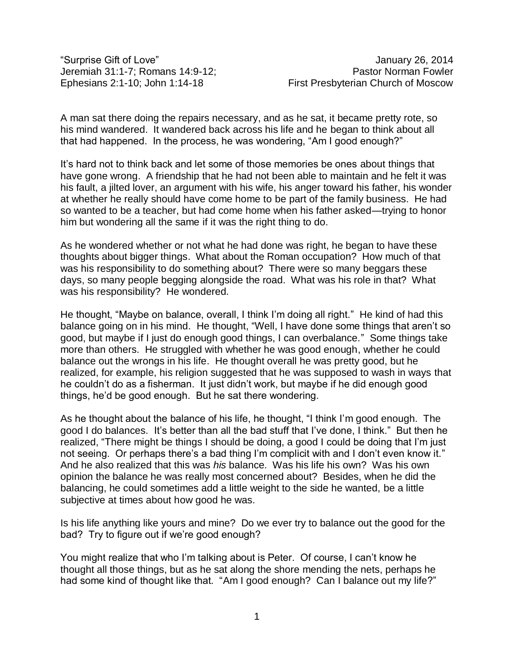"Surprise Gift of Love" January 26, 2014

A man sat there doing the repairs necessary, and as he sat, it became pretty rote, so his mind wandered. It wandered back across his life and he began to think about all that had happened. In the process, he was wondering, "Am I good enough?"

It's hard not to think back and let some of those memories be ones about things that have gone wrong. A friendship that he had not been able to maintain and he felt it was his fault, a jilted lover, an argument with his wife, his anger toward his father, his wonder at whether he really should have come home to be part of the family business. He had so wanted to be a teacher, but had come home when his father asked—trying to honor him but wondering all the same if it was the right thing to do.

As he wondered whether or not what he had done was right, he began to have these thoughts about bigger things. What about the Roman occupation? How much of that was his responsibility to do something about? There were so many beggars these days, so many people begging alongside the road. What was his role in that? What was his responsibility? He wondered.

He thought, "Maybe on balance, overall, I think I'm doing all right." He kind of had this balance going on in his mind. He thought, "Well, I have done some things that aren't so good, but maybe if I just do enough good things, I can overbalance." Some things take more than others. He struggled with whether he was good enough, whether he could balance out the wrongs in his life. He thought overall he was pretty good, but he realized, for example, his religion suggested that he was supposed to wash in ways that he couldn't do as a fisherman. It just didn't work, but maybe if he did enough good things, he'd be good enough. But he sat there wondering.

As he thought about the balance of his life, he thought, "I think I'm good enough. The good I do balances. It's better than all the bad stuff that I've done, I think." But then he realized, "There might be things I should be doing, a good I could be doing that I'm just not seeing. Or perhaps there's a bad thing I'm complicit with and I don't even know it." And he also realized that this was *his* balance. Was his life his own? Was his own opinion the balance he was really most concerned about? Besides, when he did the balancing, he could sometimes add a little weight to the side he wanted, be a little subjective at times about how good he was.

Is his life anything like yours and mine? Do we ever try to balance out the good for the bad? Try to figure out if we're good enough?

You might realize that who I'm talking about is Peter. Of course, I can't know he thought all those things, but as he sat along the shore mending the nets, perhaps he had some kind of thought like that. "Am I good enough? Can I balance out my life?"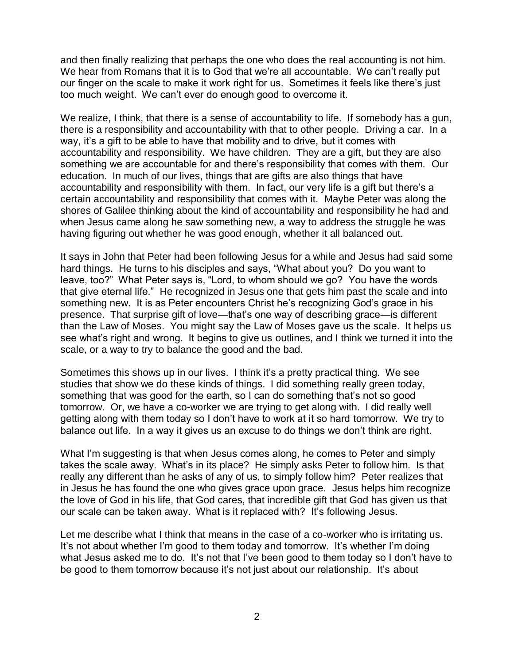and then finally realizing that perhaps the one who does the real accounting is not him. We hear from Romans that it is to God that we're all accountable. We can't really put our finger on the scale to make it work right for us. Sometimes it feels like there's just too much weight. We can't ever do enough good to overcome it.

We realize, I think, that there is a sense of accountability to life. If somebody has a gun, there is a responsibility and accountability with that to other people. Driving a car. In a way, it's a gift to be able to have that mobility and to drive, but it comes with accountability and responsibility. We have children. They are a gift, but they are also something we are accountable for and there's responsibility that comes with them. Our education. In much of our lives, things that are gifts are also things that have accountability and responsibility with them. In fact, our very life is a gift but there's a certain accountability and responsibility that comes with it. Maybe Peter was along the shores of Galilee thinking about the kind of accountability and responsibility he had and when Jesus came along he saw something new, a way to address the struggle he was having figuring out whether he was good enough, whether it all balanced out.

It says in John that Peter had been following Jesus for a while and Jesus had said some hard things. He turns to his disciples and says, "What about you? Do you want to leave, too?" What Peter says is, "Lord, to whom should we go? You have the words that give eternal life." He recognized in Jesus one that gets him past the scale and into something new. It is as Peter encounters Christ he's recognizing God's grace in his presence. That surprise gift of love—that's one way of describing grace—is different than the Law of Moses. You might say the Law of Moses gave us the scale. It helps us see what's right and wrong. It begins to give us outlines, and I think we turned it into the scale, or a way to try to balance the good and the bad.

Sometimes this shows up in our lives. I think it's a pretty practical thing. We see studies that show we do these kinds of things. I did something really green today, something that was good for the earth, so I can do something that's not so good tomorrow. Or, we have a co-worker we are trying to get along with. I did really well getting along with them today so I don't have to work at it so hard tomorrow. We try to balance out life. In a way it gives us an excuse to do things we don't think are right.

What I'm suggesting is that when Jesus comes along, he comes to Peter and simply takes the scale away. What's in its place? He simply asks Peter to follow him. Is that really any different than he asks of any of us, to simply follow him? Peter realizes that in Jesus he has found the one who gives grace upon grace. Jesus helps him recognize the love of God in his life, that God cares, that incredible gift that God has given us that our scale can be taken away. What is it replaced with? It's following Jesus.

Let me describe what I think that means in the case of a co-worker who is irritating us. It's not about whether I'm good to them today and tomorrow. It's whether I'm doing what Jesus asked me to do. It's not that I've been good to them today so I don't have to be good to them tomorrow because it's not just about our relationship. It's about